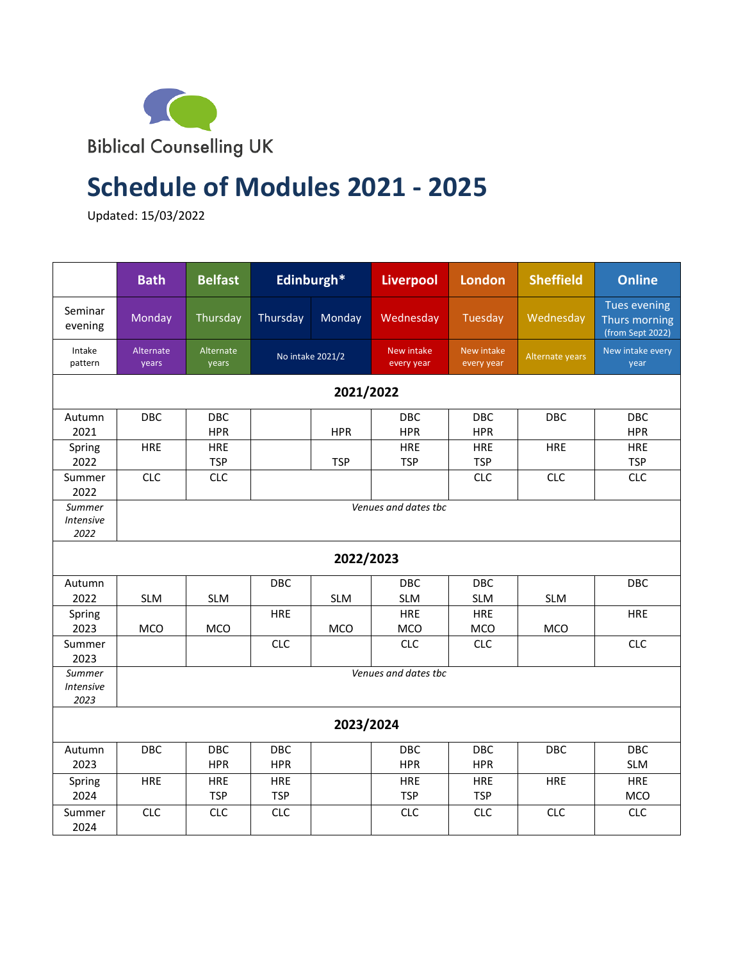

## **Schedule of Modules 2021 - 2025**

Updated: 15/03/2022

|                                    | <b>Bath</b>          | <b>Belfast</b>           |                          | Edinburgh* | <b>Liverpool</b><br><b>London</b> |                          | <b>Sheffield</b> | <b>Online</b>                                            |  |
|------------------------------------|----------------------|--------------------------|--------------------------|------------|-----------------------------------|--------------------------|------------------|----------------------------------------------------------|--|
| Seminar<br>evening                 | Monday               | Thursday                 | Thursday                 | Monday     | Wednesday                         | Tuesday                  | Wednesday        | <b>Tues evening</b><br>Thurs morning<br>(from Sept 2022) |  |
| Intake<br>pattern                  | Alternate<br>years   | Alternate<br>years       | No intake 2021/2         |            | New intake<br>every year          | New intake<br>every year | Alternate years  | New intake every<br>year                                 |  |
| 2021/2022                          |                      |                          |                          |            |                                   |                          |                  |                                                          |  |
| Autumn<br>2021                     | DBC                  | DBC<br><b>HPR</b>        |                          | <b>HPR</b> | DBC<br><b>HPR</b>                 | DBC<br><b>HPR</b>        | DBC              | <b>DBC</b><br><b>HPR</b>                                 |  |
| Spring<br>2022                     | <b>HRE</b>           | HRE<br><b>TSP</b>        |                          | <b>TSP</b> | <b>HRE</b><br><b>TSP</b>          | HRE<br><b>TSP</b>        | <b>HRE</b>       | <b>HRE</b><br><b>TSP</b>                                 |  |
| Summer<br>2022                     | <b>CLC</b>           | <b>CLC</b>               |                          |            |                                   | <b>CLC</b>               | <b>CLC</b>       | <b>CLC</b>                                               |  |
| Summer<br><b>Intensive</b><br>2022 | Venues and dates the |                          |                          |            |                                   |                          |                  |                                                          |  |
| 2022/2023                          |                      |                          |                          |            |                                   |                          |                  |                                                          |  |
| Autumn<br>2022                     | <b>SLM</b>           | <b>SLM</b>               | DBC                      | <b>SLM</b> | <b>DBC</b><br><b>SLM</b>          | <b>DBC</b><br><b>SLM</b> | <b>SLM</b>       | <b>DBC</b>                                               |  |
| Spring<br>2023                     | <b>MCO</b>           | <b>MCO</b>               | <b>HRE</b>               | <b>MCO</b> | <b>HRE</b><br>MCO                 | <b>HRE</b><br>MCO        | <b>MCO</b>       | <b>HRE</b>                                               |  |
| Summer<br>2023                     |                      |                          | <b>CLC</b>               |            | <b>CLC</b>                        | <b>CLC</b>               |                  | <b>CLC</b>                                               |  |
| Summer<br><b>Intensive</b><br>2023 | Venues and dates the |                          |                          |            |                                   |                          |                  |                                                          |  |
| 2023/2024                          |                      |                          |                          |            |                                   |                          |                  |                                                          |  |
| Autumn<br>2023                     | <b>DBC</b>           | DBC<br><b>HPR</b>        | DBC<br><b>HPR</b>        |            | DBC<br><b>HPR</b>                 | <b>DBC</b><br><b>HPR</b> | <b>DBC</b>       | DBC<br><b>SLM</b>                                        |  |
| Spring<br>2024                     | <b>HRE</b>           | <b>HRE</b><br><b>TSP</b> | <b>HRE</b><br><b>TSP</b> |            | <b>HRE</b><br><b>TSP</b>          | <b>HRE</b><br><b>TSP</b> | <b>HRE</b>       | <b>HRE</b><br><b>MCO</b>                                 |  |
| Summer<br>2024                     | <b>CLC</b>           | <b>CLC</b>               | <b>CLC</b>               |            | <b>CLC</b>                        | <b>CLC</b>               | <b>CLC</b>       | <b>CLC</b>                                               |  |